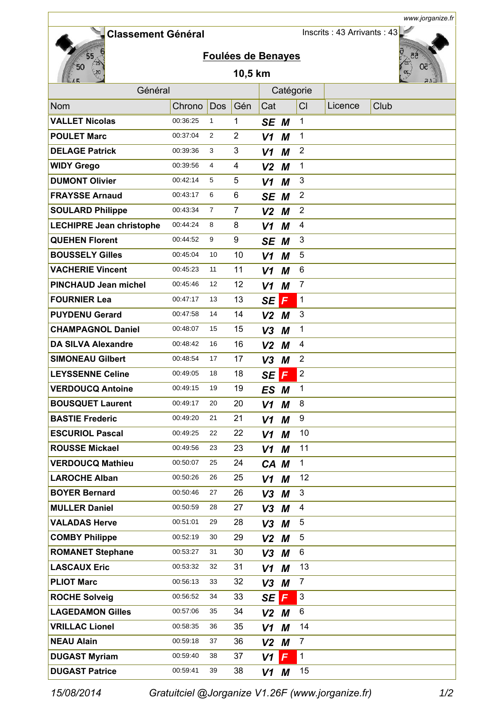**Classement Général** 

Inscrits : 43 Arrivants : 43



## **Foulées de Benayes**

## **10,5 km**



*www.jorganize.fr*

| Général                         |          |            |                |                | Catégorie      |                           |         |      |  |
|---------------------------------|----------|------------|----------------|----------------|----------------|---------------------------|---------|------|--|
| <b>Nom</b>                      | Chrono   | <b>Dos</b> | Gén            | Cat            |                | CI                        | Licence | Club |  |
| <b>VALLET Nicolas</b>           | 00:36:25 | 1          | 1              | SE M           |                | $\mathbf{1}$              |         |      |  |
| <b>POULET Marc</b>              | 00:37:04 | 2          | $\overline{2}$ | V <sub>1</sub> | M              | $\mathbf 1$               |         |      |  |
| <b>DELAGE Patrick</b>           | 00:39:36 | 3          | 3              | V1             | M              | $\overline{2}$            |         |      |  |
| <b>WIDY Grego</b>               | 00:39:56 | 4          | 4              | V <sub>2</sub> | M              | $\mathbf 1$               |         |      |  |
| <b>DUMONT Olivier</b>           | 00:42:14 | 5          | 5              | V1             | M              | 3                         |         |      |  |
| <b>FRAYSSE Arnaud</b>           | 00:43:17 | 6          | 6              | SE             | M              | $\overline{2}$            |         |      |  |
| <b>SOULARD Philippe</b>         | 00:43:34 | 7          | $\overline{7}$ | V <sub>2</sub> | M              | $\overline{2}$            |         |      |  |
| <b>LECHIPRE Jean christophe</b> | 00:44:24 | 8          | 8              | V1             | M              | 4                         |         |      |  |
| <b>QUEHEN Florent</b>           | 00:44:52 | 9          | 9              | SE             | M              | 3                         |         |      |  |
| <b>BOUSSELY Gilles</b>          | 00:45:04 | 10         | 10             | V <sub>1</sub> | M              | 5                         |         |      |  |
| <b>VACHERIE Vincent</b>         | 00:45:23 | 11         | 11             | V1             | M              | 6                         |         |      |  |
| <b>PINCHAUD Jean michel</b>     | 00:45:46 | 12         | 12             | V1             | M              | $\overline{7}$            |         |      |  |
| <b>FOURNIER Lea</b>             | 00:47:17 | 13         | 13             | <b>SE</b>      | $\overline{F}$ | $\mathbf 1$               |         |      |  |
| <b>PUYDENU Gerard</b>           | 00:47:58 | 14         | 14             | $V2$ M         |                | 3                         |         |      |  |
| <b>CHAMPAGNOL Daniel</b>        | 00:48:07 | 15         | 15             | V <sub>3</sub> | M              | 1                         |         |      |  |
| <b>DA SILVA Alexandre</b>       | 00:48:42 | 16         | 16             | V <sub>2</sub> | M              | 4                         |         |      |  |
| <b>SIMONEAU Gilbert</b>         | 00:48:54 | 17         | 17             | V <sub>3</sub> | M              | $\overline{2}$            |         |      |  |
| <b>LEYSSENNE Celine</b>         | 00:49:05 | 18         | 18             | <b>SE</b>      | F              | $\overline{2}$            |         |      |  |
| <b>VERDOUCQ Antoine</b>         | 00:49:15 | 19         | 19             | <b>ES</b>      | М              | 1                         |         |      |  |
| <b>BOUSQUET Laurent</b>         | 00:49:17 | 20         | 20             | V1             | M              | 8                         |         |      |  |
| <b>BASTIE Frederic</b>          | 00:49:20 | 21         | 21             | V1             | M              | 9                         |         |      |  |
| <b>ESCURIOL Pascal</b>          | 00:49:25 | 22         | 22             | V <sub>1</sub> | М              | 10                        |         |      |  |
| <b>ROUSSE Mickael</b>           | 00:49:56 | 23         | 23             | V1             | М              | 11                        |         |      |  |
| <b>VERDOUCQ Mathieu</b>         | 00:50:07 | 25         | 24             | CA M           |                | 1                         |         |      |  |
| <b>LAROCHE Alban</b>            | 00:50:26 | 26         | 25             | V1             | M              | 12                        |         |      |  |
| <b>BOYER Bernard</b>            | 00:50:46 | 27         | 26             | V3             | M              | 3                         |         |      |  |
| <b>MULLER Daniel</b>            | 00:50:59 | 28         | 27             | V3             | M              | 4                         |         |      |  |
| <b>VALADAS Herve</b>            | 00:51:01 | 29         | 28             | $V3$ M         |                | 5                         |         |      |  |
| <b>COMBY Philippe</b>           | 00:52:19 | 30         | 29             | $V2$ M         |                | 5                         |         |      |  |
| <b>ROMANET Stephane</b>         | 00:53:27 | 31         | 30             | $V3$ M         |                | 6                         |         |      |  |
| <b>LASCAUX Eric</b>             | 00:53:32 | 32         | 31             | V1             | M              | 13                        |         |      |  |
| <b>PLIOT Marc</b>               | 00:56:13 | 33         | 32             | $V3$ M         |                | $\overline{7}$            |         |      |  |
| <b>ROCHE Solveig</b>            | 00:56:52 | 34         | 33             | SE             | $\mathsf F$    | $\ensuremath{\mathsf{3}}$ |         |      |  |
| <b>LAGEDAMON Gilles</b>         | 00:57:06 | 35         | 34             | $V2$ M         |                | 6                         |         |      |  |
| <b>VRILLAC Lionel</b>           | 00:58:35 | 36         | 35             | V1             | M              | 14                        |         |      |  |
| <b>NEAU Alain</b>               | 00:59:18 | 37         | 36             | $V2$ M         |                | 7                         |         |      |  |
| <b>DUGAST Myriam</b>            | 00:59:40 | 38         | 37             | V1             | $\mathsf{F}$   | $\mathbf 1$               |         |      |  |
| <b>DUGAST Patrice</b>           | 00:59:41 | 39         | 38             | V1             | M              | 15                        |         |      |  |

*15/08/2014 Gratuitciel @Jorganize V1.26F (www.jorganize.fr)* 1/2